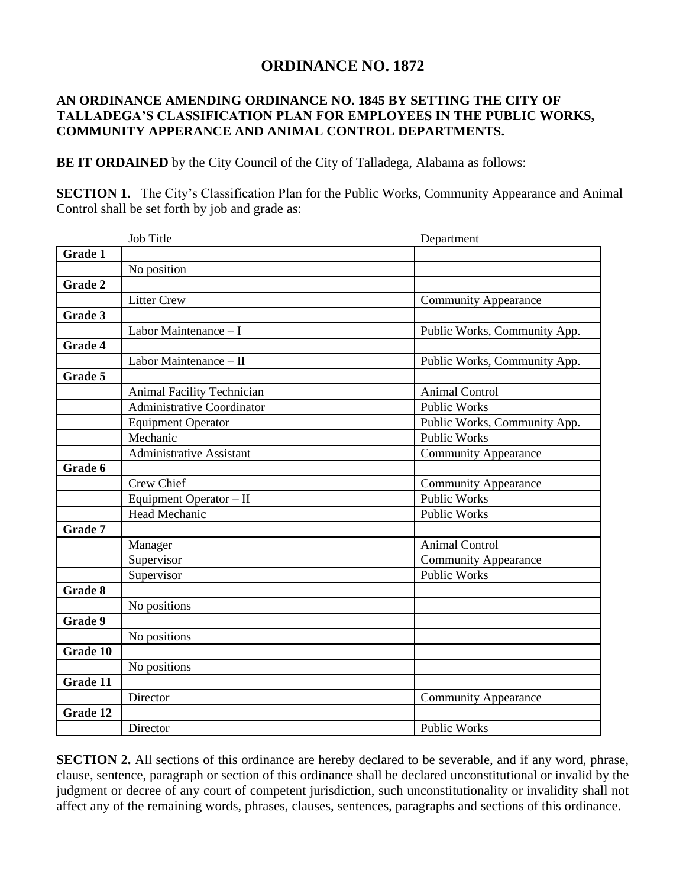## **ORDINANCE NO. 1872**

## **AN ORDINANCE AMENDING ORDINANCE NO. 1845 BY SETTING THE CITY OF TALLADEGA'S CLASSIFICATION PLAN FOR EMPLOYEES IN THE PUBLIC WORKS, COMMUNITY APPERANCE AND ANIMAL CONTROL DEPARTMENTS.**

**BE IT ORDAINED** by the City Council of the City of Talladega, Alabama as follows:

**SECTION 1.** The City's Classification Plan for the Public Works, Community Appearance and Animal Control shall be set forth by job and grade as:

|                | Job Title                                 | Department                   |
|----------------|-------------------------------------------|------------------------------|
| Grade 1        |                                           |                              |
|                | No position                               |                              |
| Grade 2        |                                           |                              |
|                | <b>Litter Crew</b>                        | <b>Community Appearance</b>  |
| Grade 3        |                                           |                              |
|                | $\overline{\text{Labor Maintenance}} - I$ | Public Works, Community App. |
| Grade 4        |                                           |                              |
|                | Labor Maintenance - II                    | Public Works, Community App. |
| Grade 5        |                                           |                              |
|                | Animal Facility Technician                | <b>Animal Control</b>        |
|                | <b>Administrative Coordinator</b>         | <b>Public Works</b>          |
|                | <b>Equipment Operator</b>                 | Public Works, Community App. |
|                | Mechanic                                  | <b>Public Works</b>          |
|                | <b>Administrative Assistant</b>           | <b>Community Appearance</b>  |
| Grade 6        |                                           |                              |
|                | Crew Chief                                | <b>Community Appearance</b>  |
|                | Equipment Operator - II                   | <b>Public Works</b>          |
|                | Head Mechanic                             | <b>Public Works</b>          |
| Grade 7        |                                           |                              |
|                | Manager                                   | Animal Control               |
|                | Supervisor                                | <b>Community Appearance</b>  |
|                | Supervisor                                | <b>Public Works</b>          |
| <b>Grade 8</b> |                                           |                              |
|                | No positions                              |                              |
| <b>Grade 9</b> |                                           |                              |
|                | No positions                              |                              |
| Grade 10       |                                           |                              |
|                | No positions                              |                              |
| Grade 11       |                                           |                              |
|                | Director                                  | <b>Community Appearance</b>  |
| Grade 12       |                                           |                              |
|                | Director                                  | <b>Public Works</b>          |

**SECTION 2.** All sections of this ordinance are hereby declared to be severable, and if any word, phrase, clause, sentence, paragraph or section of this ordinance shall be declared unconstitutional or invalid by the judgment or decree of any court of competent jurisdiction, such unconstitutionality or invalidity shall not affect any of the remaining words, phrases, clauses, sentences, paragraphs and sections of this ordinance.